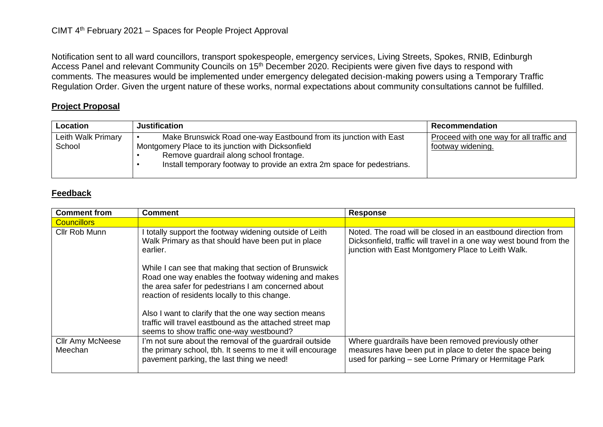Notification sent to all ward councillors, transport spokespeople, emergency services, Living Streets, Spokes, RNIB, Edinburgh Access Panel and relevant Community Councils on 15<sup>th</sup> December 2020. Recipients were given five days to respond with comments. The measures would be implemented under emergency delegated decision-making powers using a Temporary Traffic Regulation Order. Given the urgent nature of these works, normal expectations about community consultations cannot be fulfilled.

## **Project Proposal**

| Location                     | <b>Justification</b>                                                                                                                                                                                                                          | <b>Recommendation</b>                                         |
|------------------------------|-----------------------------------------------------------------------------------------------------------------------------------------------------------------------------------------------------------------------------------------------|---------------------------------------------------------------|
| Leith Walk Primary<br>School | Make Brunswick Road one-way Eastbound from its junction with East<br>Montgomery Place to its junction with Dicksonfield<br>Remove guardrail along school frontage.<br>Install temporary footway to provide an extra 2m space for pedestrians. | Proceed with one way for all traffic and<br>footway widening. |

## **Feedback**

| <b>Comment from</b>                | <b>Comment</b>                                                                                                                                                                                                       | <b>Response</b>                                                                                                                                                                           |
|------------------------------------|----------------------------------------------------------------------------------------------------------------------------------------------------------------------------------------------------------------------|-------------------------------------------------------------------------------------------------------------------------------------------------------------------------------------------|
| <b>Councillors</b>                 |                                                                                                                                                                                                                      |                                                                                                                                                                                           |
| Cllr Rob Munn                      | I totally support the footway widening outside of Leith<br>Walk Primary as that should have been put in place<br>earlier.                                                                                            | Noted. The road will be closed in an eastbound direction from<br>Dicksonfield, traffic will travel in a one way west bound from the<br>junction with East Montgomery Place to Leith Walk. |
|                                    | While I can see that making that section of Brunswick<br>Road one way enables the footway widening and makes<br>the area safer for pedestrians I am concerned about<br>reaction of residents locally to this change. |                                                                                                                                                                                           |
|                                    | Also I want to clarify that the one way section means<br>traffic will travel eastbound as the attached street map<br>seems to show traffic one-way westbound?                                                        |                                                                                                                                                                                           |
| <b>Cllr Amy McNeese</b><br>Meechan | I'm not sure about the removal of the guardrail outside<br>the primary school, tbh. It seems to me it will encourage<br>pavement parking, the last thing we need!                                                    | Where guardrails have been removed previously other<br>measures have been put in place to deter the space being<br>used for parking - see Lorne Primary or Hermitage Park                 |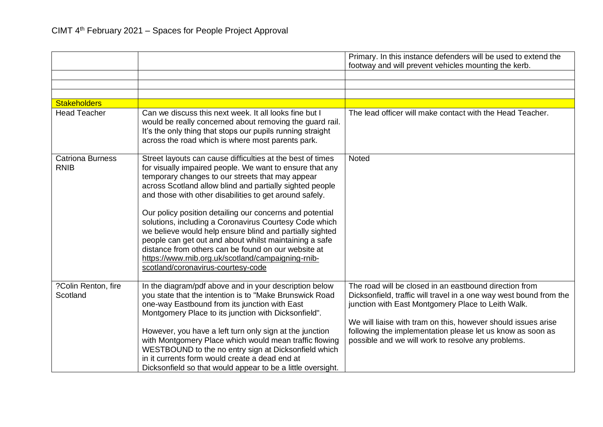|                                        |                                                                                                                                                                                                                                                                                                                                                                                                                                                                                                                                                                                                                                                                                                  | Primary. In this instance defenders will be used to extend the                                                                                                                                                                                                                                                                                                          |
|----------------------------------------|--------------------------------------------------------------------------------------------------------------------------------------------------------------------------------------------------------------------------------------------------------------------------------------------------------------------------------------------------------------------------------------------------------------------------------------------------------------------------------------------------------------------------------------------------------------------------------------------------------------------------------------------------------------------------------------------------|-------------------------------------------------------------------------------------------------------------------------------------------------------------------------------------------------------------------------------------------------------------------------------------------------------------------------------------------------------------------------|
|                                        |                                                                                                                                                                                                                                                                                                                                                                                                                                                                                                                                                                                                                                                                                                  | footway and will prevent vehicles mounting the kerb.                                                                                                                                                                                                                                                                                                                    |
|                                        |                                                                                                                                                                                                                                                                                                                                                                                                                                                                                                                                                                                                                                                                                                  |                                                                                                                                                                                                                                                                                                                                                                         |
|                                        |                                                                                                                                                                                                                                                                                                                                                                                                                                                                                                                                                                                                                                                                                                  |                                                                                                                                                                                                                                                                                                                                                                         |
| <b>Stakeholders</b>                    |                                                                                                                                                                                                                                                                                                                                                                                                                                                                                                                                                                                                                                                                                                  |                                                                                                                                                                                                                                                                                                                                                                         |
| <b>Head Teacher</b>                    | Can we discuss this next week. It all looks fine but I<br>would be really concerned about removing the guard rail.<br>It's the only thing that stops our pupils running straight<br>across the road which is where most parents park.                                                                                                                                                                                                                                                                                                                                                                                                                                                            | The lead officer will make contact with the Head Teacher.                                                                                                                                                                                                                                                                                                               |
| <b>Catriona Burness</b><br><b>RNIB</b> | Street layouts can cause difficulties at the best of times<br>for visually impaired people. We want to ensure that any<br>temporary changes to our streets that may appear<br>across Scotland allow blind and partially sighted people<br>and those with other disabilities to get around safely.<br>Our policy position detailing our concerns and potential<br>solutions, including a Coronavirus Courtesy Code which<br>we believe would help ensure blind and partially sighted<br>people can get out and about whilst maintaining a safe<br>distance from others can be found on our website at<br>https://www.rnib.org.uk/scotland/campaigning-rnib-<br>scotland/coronavirus-courtesy-code | <b>Noted</b>                                                                                                                                                                                                                                                                                                                                                            |
| ?Colin Renton, fire<br>Scotland        | In the diagram/pdf above and in your description below<br>you state that the intention is to "Make Brunswick Road<br>one-way Eastbound from its junction with East<br>Montgomery Place to its junction with Dicksonfield".<br>However, you have a left turn only sign at the junction<br>with Montgomery Place which would mean traffic flowing<br>WESTBOUND to the no entry sign at Dicksonfield which<br>in it currents form would create a dead end at<br>Dicksonfield so that would appear to be a little oversight.                                                                                                                                                                         | The road will be closed in an eastbound direction from<br>Dicksonfield, traffic will travel in a one way west bound from the<br>junction with East Montgomery Place to Leith Walk.<br>We will liaise with tram on this, however should issues arise<br>following the implementation please let us know as soon as<br>possible and we will work to resolve any problems. |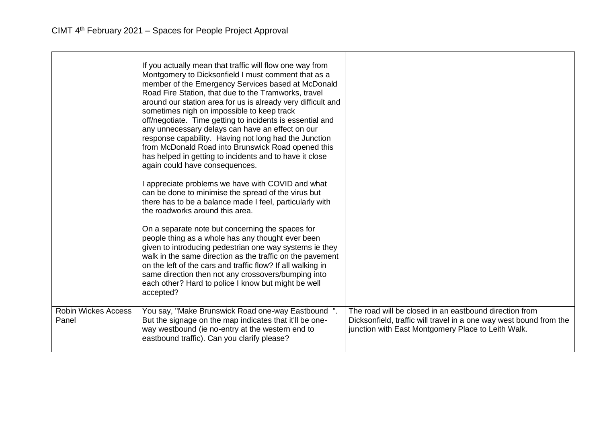|                                     | If you actually mean that traffic will flow one way from<br>Montgomery to Dicksonfield I must comment that as a<br>member of the Emergency Services based at McDonald<br>Road Fire Station, that due to the Tramworks, travel<br>around our station area for us is already very difficult and<br>sometimes nigh on impossible to keep track<br>off/negotiate. Time getting to incidents is essential and<br>any unnecessary delays can have an effect on our<br>response capability. Having not long had the Junction<br>from McDonald Road into Brunswick Road opened this<br>has helped in getting to incidents and to have it close<br>again could have consequences. |                                                                                                                                                                                    |
|-------------------------------------|--------------------------------------------------------------------------------------------------------------------------------------------------------------------------------------------------------------------------------------------------------------------------------------------------------------------------------------------------------------------------------------------------------------------------------------------------------------------------------------------------------------------------------------------------------------------------------------------------------------------------------------------------------------------------|------------------------------------------------------------------------------------------------------------------------------------------------------------------------------------|
|                                     | I appreciate problems we have with COVID and what<br>can be done to minimise the spread of the virus but<br>there has to be a balance made I feel, particularly with<br>the roadworks around this area.                                                                                                                                                                                                                                                                                                                                                                                                                                                                  |                                                                                                                                                                                    |
|                                     | On a separate note but concerning the spaces for<br>people thing as a whole has any thought ever been<br>given to introducing pedestrian one way systems ie they<br>walk in the same direction as the traffic on the pavement<br>on the left of the cars and traffic flow? If all walking in<br>same direction then not any crossovers/bumping into<br>each other? Hard to police I know but might be well<br>accepted?                                                                                                                                                                                                                                                  |                                                                                                                                                                                    |
| <b>Robin Wickes Access</b><br>Panel | You say, "Make Brunswick Road one-way Eastbound".<br>But the signage on the map indicates that it'll be one-<br>way westbound (ie no-entry at the western end to<br>eastbound traffic). Can you clarify please?                                                                                                                                                                                                                                                                                                                                                                                                                                                          | The road will be closed in an eastbound direction from<br>Dicksonfield, traffic will travel in a one way west bound from the<br>junction with East Montgomery Place to Leith Walk. |